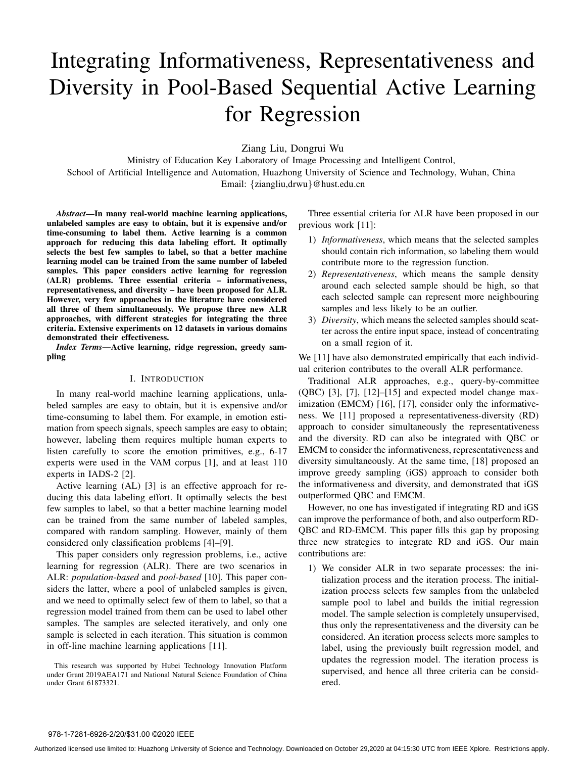# Integrating Informativeness, Representativeness and Diversity in Pool-Based Sequential Active Learning for Regression

Ziang Liu, Dongrui Wu

Ministry of Education Key Laboratory of Image Processing and Intelligent Control, School of Artificial Intelligence and Automation, Huazhong University of Science and Technology, Wuhan, China Email: {ziangliu,drwu}@hust.edu.cn

*Abstract***—In many real-world machine learning applications, unlabeled samples are easy to obtain, but it is expensive and/or time-consuming to label them. Active learning is a common approach for reducing this data labeling effort. It optimally selects the best few samples to label, so that a better machine learning model can be trained from the same number of labeled samples. This paper considers active learning for regression (ALR) problems. Three essential criteria – informativeness, representativeness, and diversity – have been proposed for ALR. However, very few approaches in the literature have considered all three of them simultaneously. We propose three new ALR approaches, with different strategies for integrating the three criteria. Extensive experiments on 12 datasets in various domains demonstrated their effectiveness.**

*Index Terms***—Active learning, ridge regression, greedy sampling**

# I. INTRODUCTION

In many real-world machine learning applications, unlabeled samples are easy to obtain, but it is expensive and/or time-consuming to label them. For example, in emotion estimation from speech signals, speech samples are easy to obtain; however, labeling them requires multiple human experts to listen carefully to score the emotion primitives, e.g., 6-17 experts were used in the VAM corpus [1], and at least 110 experts in IADS-2 [2].

Active learning (AL) [3] is an effective approach for reducing this data labeling effort. It optimally selects the best few samples to label, so that a better machine learning model can be trained from the same number of labeled samples, compared with random sampling. However, mainly of them considered only classification problems [4]–[9].

This paper considers only regression problems, i.e., active learning for regression (ALR). There are two scenarios in ALR: *population-based* and *pool-based* [10]. This paper considers the latter, where a pool of unlabeled samples is given, and we need to optimally select few of them to label, so that a regression model trained from them can be used to label other samples. The samples are selected iteratively, and only one sample is selected in each iteration. This situation is common in off-line machine learning applications [11].

This research was supported by Hubei Technology Innovation Platform under Grant 2019AEA171 and National Natural Science Foundation of China under Grant 61873321.

Three essential criteria for ALR have been proposed in our previous work [11]:

- 1) *Informativeness*, which means that the selected samples should contain rich information, so labeling them would contribute more to the regression function.
- 2) *Representativeness*, which means the sample density around each selected sample should be high, so that each selected sample can represent more neighbouring samples and less likely to be an outlier.
- 3) *Diversity*, which means the selected samples should scatter across the entire input space, instead of concentrating on a small region of it.

We [11] have also demonstrated empirically that each individual criterion contributes to the overall ALR performance.

Traditional ALR approaches, e.g., query-by-committee  $(QBC)$  [3], [7], [12]–[15] and expected model change maximization (EMCM) [16], [17], consider only the informativeness. We [11] proposed a representativeness-diversity (RD) approach to consider simultaneously the representativeness and the diversity. RD can also be integrated with QBC or EMCM to consider the informativeness, representativeness and diversity simultaneously. At the same time, [18] proposed an improve greedy sampling (iGS) approach to consider both the informativeness and diversity, and demonstrated that iGS outperformed QBC and EMCM.

However, no one has investigated if integrating RD and iGS can improve the performance of both, and also outperform RD-QBC and RD-EMCM. This paper fills this gap by proposing three new strategies to integrate RD and iGS. Our main contributions are:

1) We consider ALR in two separate processes: the initialization process and the iteration process. The initialization process selects few samples from the unlabeled sample pool to label and builds the initial regression model. The sample selection is completely unsupervised, thus only the representativeness and the diversity can be considered. An iteration process selects more samples to label, using the previously built regression model, and updates the regression model. The iteration process is supervised, and hence all three criteria can be considered.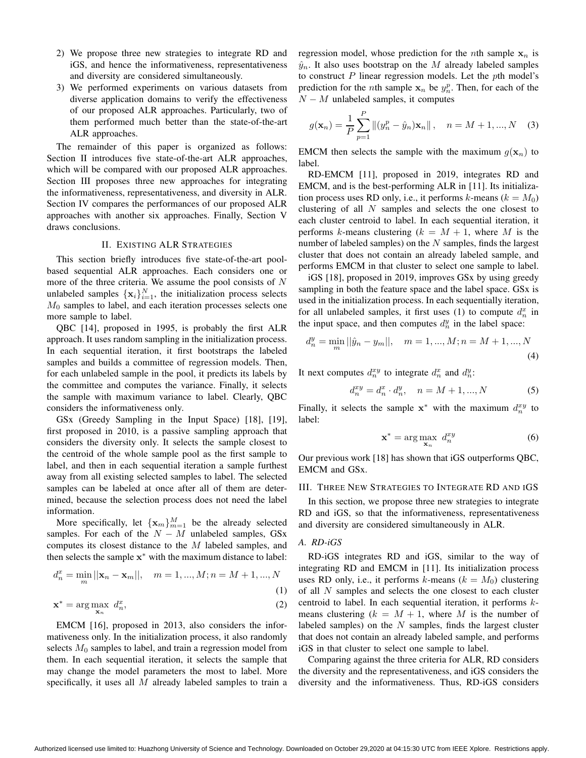- 2) We propose three new strategies to integrate RD and iGS, and hence the informativeness, representativeness and diversity are considered simultaneously.
- 3) We performed experiments on various datasets from diverse application domains to verify the effectiveness of our proposed ALR approaches. Particularly, two of them performed much better than the state-of-the-art ALR approaches.

The remainder of this paper is organized as follows: Section II introduces five state-of-the-art ALR approaches, which will be compared with our proposed ALR approaches. Section III proposes three new approaches for integrating the informativeness, representativeness, and diversity in ALR. Section IV compares the performances of our proposed ALR approaches with another six approaches. Finally, Section V draws conclusions.

#### II. EXISTING ALR STRATEGIES

This section briefly introduces five state-of-the-art poolbased sequential ALR approaches. Each considers one or more of the three criteria. We assume the pool consists of  $N$ unlabeled samples  $\{x_i\}_{i=1}^N$ , the initialization process selects  $M<sub>0</sub>$  samples to label, and each iteration processes selects one more sample to label.

QBC [14], proposed in 1995, is probably the first ALR approach. It uses random sampling in the initialization process. In each sequential iteration, it first bootstraps the labeled samples and builds a committee of regression models. Then, for each unlabeled sample in the pool, it predicts its labels by the committee and computes the variance. Finally, it selects the sample with maximum variance to label. Clearly, QBC considers the informativeness only.

GSx (Greedy Sampling in the Input Space) [18], [19], first proposed in 2010, is a passive sampling approach that considers the diversity only. It selects the sample closest to the centroid of the whole sample pool as the first sample to label, and then in each sequential iteration a sample furthest away from all existing selected samples to label. The selected samples can be labeled at once after all of them are determined, because the selection process does not need the label information.

More specifically, let  ${x_m}_{m=1}^M$  be the already selected samples. For each of the  $N - M$  unlabeled samples, GSx computes its closest distance to the M labeled samples, and then selects the sample  $x^*$  with the maximum distance to label:

$$
d_n^x = \min_m ||\mathbf{x}_n - \mathbf{x}_m||, \quad m = 1, ..., M; n = M + 1, ..., N
$$
\n(1)

$$
\mathbf{x}^* = \arg\max_{\mathbf{x}_n} d_n^x,\tag{2}
$$

EMCM [16], proposed in 2013, also considers the informativeness only. In the initialization process, it also randomly selects  $M_0$  samples to label, and train a regression model from them. In each sequential iteration, it selects the sample that may change the model parameters the most to label. More specifically, it uses all  $M$  already labeled samples to train a regression model, whose prediction for the *n*th sample  $x_n$  is  $\hat{y}_n$ . It also uses bootstrap on the M already labeled samples to construct  $P$  linear regression models. Let the  $p$ th model's prediction for the *n*th sample  $x_n$  be  $y_n^p$ . Then, for each of the  $N - M$  unlabeled samples, it computes

$$
g(\mathbf{x}_n) = \frac{1}{P} \sum_{p=1}^{P} ||(y_n^p - \hat{y}_n)\mathbf{x}_n||, \quad n = M+1, ..., N \quad (3)
$$

EMCM then selects the sample with the maximum  $g(\mathbf{x}_n)$  to label.

RD-EMCM [11], proposed in 2019, integrates RD and EMCM, and is the best-performing ALR in [11]. Its initialization process uses RD only, i.e., it performs k-means ( $k = M_0$ ) clustering of all N samples and selects the one closest to each cluster centroid to label. In each sequential iteration, it performs k-means clustering  $(k = M + 1)$ , where M is the number of labeled samples) on the  $N$  samples, finds the largest cluster that does not contain an already labeled sample, and performs EMCM in that cluster to select one sample to label.

iGS [18], proposed in 2019, improves GSx by using greedy sampling in both the feature space and the label space. GSx is used in the initialization process. In each sequentially iteration, for all unlabeled samples, it first uses (1) to compute  $d_n^x$  in the input space, and then computes  $d_n^y$  in the label space:

$$
d_n^y = \min_m ||\hat{y}_n - y_m||, \quad m = 1, ..., M; n = M + 1, ..., N
$$
\n(4)

It next computes  $d_n^{xy}$  to integrate  $d_n^x$  and  $d_n^y$ :

$$
d_n^{xy} = d_n^x \cdot d_n^y, \quad n = M + 1, ..., N \tag{5}
$$

Finally, it selects the sample  $x^*$  with the maximum  $d_n^{xy}$  to label:

$$
\mathbf{x}^* = \arg\max_{\mathbf{x}_n} \ d_n^{xy} \tag{6}
$$

Our previous work [18] has shown that iGS outperforms QBC, EMCM and GSx.

#### III. THREE NEW STRATEGIES TO INTEGRATE RD AND IGS

In this section, we propose three new strategies to integrate RD and iGS, so that the informativeness, representativeness and diversity are considered simultaneously in ALR.

## *A. RD-iGS*

RD-iGS integrates RD and iGS, similar to the way of integrating RD and EMCM in [11]. Its initialization process uses RD only, i.e., it performs k-means  $(k = M_0)$  clustering of all  $N$  samples and selects the one closest to each cluster centroid to label. In each sequential iteration, it performs kmeans clustering  $(k = M + 1)$ , where M is the number of labeled samples) on the  $N$  samples, finds the largest cluster that does not contain an already labeled sample, and performs iGS in that cluster to select one sample to label.

Comparing against the three criteria for ALR, RD considers the diversity and the representativeness, and iGS considers the diversity and the informativeness. Thus, RD-iGS considers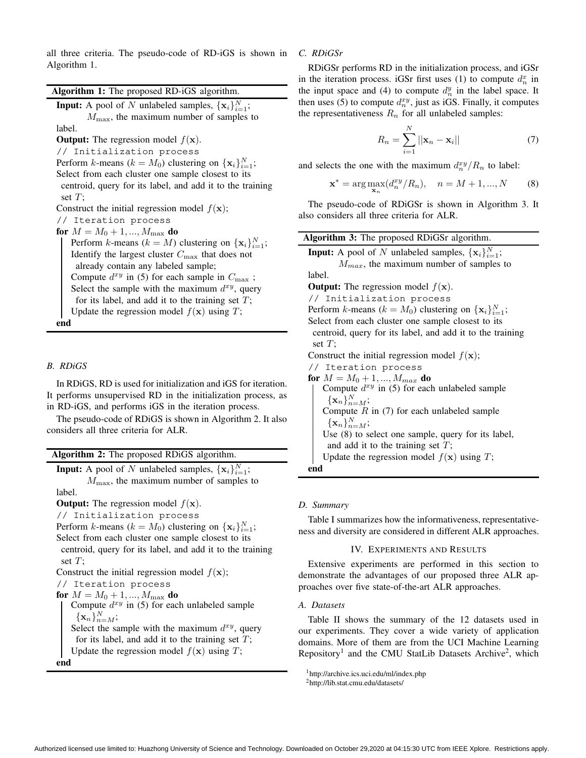all three criteria. The pseudo-code of RD-iGS is shown in Algorithm 1.

| Algorithm 1: The proposed RD-iGS algorithm.                      |
|------------------------------------------------------------------|
| <b>Input:</b> A pool of N unlabeled samples, $\{x_i\}_{i=1}^N$ ; |
| $M_{\text{max}}$ , the maximum number of samples to              |
| label.                                                           |
| <b>Output:</b> The regression model $f(\mathbf{x})$ .            |
| // Initialization process                                        |
| Perform k-means ( $k = M_0$ ) clustering on $\{x_i\}_{i=1}^N$ ;  |
| Select from each cluster one sample closest to its               |
| centroid, query for its label, and add it to the training        |
| set $T$ ;                                                        |
| Construct the initial regression model $f(\mathbf{x})$ ;         |
| // Iteration process                                             |
| for $M = M_0 + 1, , M_{\text{max}}$ do                           |
| Perform k-means ( $k = M$ ) clustering on $\{x_i\}_{i=1}^N$ ;    |
| Identify the largest cluster $C_{\text{max}}$ that does not      |
| already contain any labeled sample;                              |
| Compute $d^{xy}$ in (5) for each sample in $C_{\text{max}}$ ;    |
| Select the sample with the maximum $d^{xy}$ , query              |
| for its label, and add it to the training set $T$ ;              |
| Update the regression model $f(\mathbf{x})$ using T;             |
| end                                                              |

## *B. RDiGS*

In RDiGS, RD is used for initialization and iGS for iteration. It performs unsupervised RD in the initialization process, as in RD-iGS, and performs iGS in the iteration process.

The pseudo-code of RDiGS is shown in Algorithm 2. It also considers all three criteria for ALR.

| Algorithm 2: The proposed RDiGS algorithm.                       |
|------------------------------------------------------------------|
| <b>Input:</b> A pool of N unlabeled samples, $\{x_i\}_{i=1}^N$ ; |
| $M_{\text{max}}$ , the maximum number of samples to              |
| label.                                                           |
| <b>Output:</b> The regression model $f(\mathbf{x})$ .            |
| // Initialization process                                        |
| Perform k-means ( $k = M_0$ ) clustering on $\{x_i\}_{i=1}^N$ ;  |
| Select from each cluster one sample closest to its               |
| centroid, query for its label, and add it to the training        |
| set $T$ ;                                                        |
| Construct the initial regression model $f(\mathbf{x})$ ;         |
| // Iteration process                                             |
| for $M = M_0 + 1, , M_{\text{max}}$ do                           |
| Compute $d^{xy}$ in (5) for each unlabeled sample                |

 $\{\mathbf x_n\}_{n=M}^N;$ Select the sample with the maximum  $d^{xy}$ , query for its label, and add it to the training set  $T$ ; Update the regression model  $f(\mathbf{x})$  using T;

**end**

## *C. RDiGSr*

RDiGSr performs RD in the initialization process, and iGSr in the iteration process. iGSr first uses (1) to compute  $d_n^x$  in the input space and (4) to compute  $d_n^y$  in the label space. It then uses (5) to compute  $d_n^{xy}$ , just as iGS. Finally, it computes the representativeness  $R_n$  for all unlabeled samples:

$$
R_n = \sum_{i=1}^{N} ||\mathbf{x}_n - \mathbf{x}_i|| \tag{7}
$$

and selects the one with the maximum  $\frac{d_n^{xy}}{R_n}$  to label:

$$
\mathbf{x}^* = \arg \max_{\mathbf{x}_n} (d_n^{xy}/R_n), \quad n = M+1, ..., N
$$
 (8)

The pseudo-code of RDiGSr is shown in Algorithm 3. It also considers all three criteria for ALR.

| <b>Algorithm 3:</b> The proposed RDiGSr algorithm.               |
|------------------------------------------------------------------|
| <b>Input:</b> A pool of N unlabeled samples, $\{x_i\}_{i=1}^N$ ; |
| $M_{max}$ , the maximum number of samples to                     |
| label.                                                           |
| <b>Output:</b> The regression model $f(\mathbf{x})$ .            |
| // Initialization process                                        |
| Perform k-means ( $k = M_0$ ) clustering on $\{x_i\}_{i=1}^N$ ;  |
| Select from each cluster one sample closest to its               |
| centroid, query for its label, and add it to the training        |
| set $T$ ;                                                        |
| Construct the initial regression model $f(\mathbf{x})$ ;         |
| // Iteration process                                             |
| for $M = M_0 + 1, , M_{max}$ do                                  |
| Compute $d^{xy}$ in (5) for each unlabeled sample                |
| $\{\mathbf x_n\}_{n=M}^N;$                                       |
| Compute $R$ in (7) for each unlabeled sample                     |
| $\{\mathbf x_n\}_{n=M}^N;$                                       |
| Use $(8)$ to select one sample, query for its label,             |
| and add it to the training set $T$ ;                             |
| Update the regression model $f(\mathbf{x})$ using T;             |
| end                                                              |

# *D. Summary*

Table I summarizes how the informativeness, representativeness and diversity are considered in different ALR approaches.

#### IV. EXPERIMENTS AND RESULTS

Extensive experiments are performed in this section to demonstrate the advantages of our proposed three ALR approaches over five state-of-the-art ALR approaches.

#### *A. Datasets*

Table II shows the summary of the 12 datasets used in our experiments. They cover a wide variety of application domains. More of them are from the UCI Machine Learning Repository<sup>1</sup> and the CMU StatLib Datasets Archive<sup>2</sup>, which

<sup>1</sup>http://archive.ics.uci.edu/ml/index.php

<sup>2</sup>http://lib.stat.cmu.edu/datasets/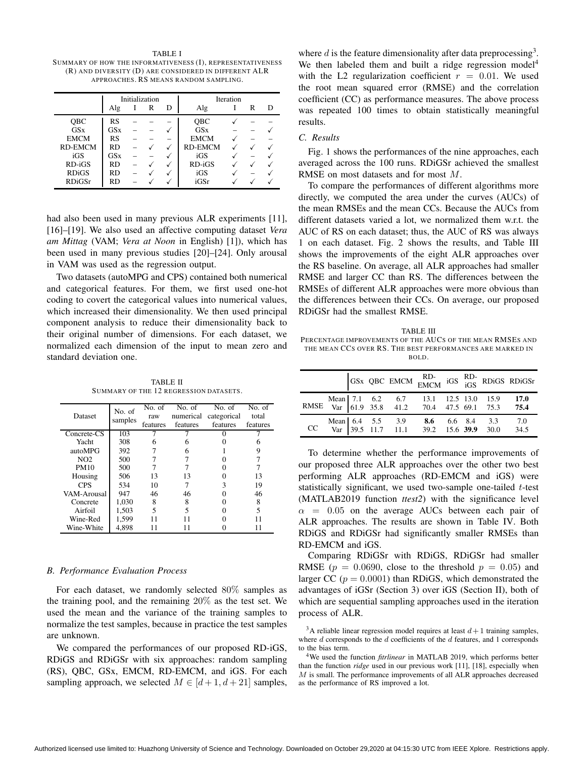TABLE I SUMMARY OF HOW THE INFORMATIVENESS (I), REPRESENTATIVENESS (R) AND DIVERS ITY (D) ARE CONS IDERED IN DIFFERENT ALR APPROACHES. RS MEANS RANDOM SAMPLING.

|              | Initialization |  |   |   |                | <b>Iteration</b> |   |   |
|--------------|----------------|--|---|---|----------------|------------------|---|---|
|              | Alg            |  | R | D | Alg            |                  | R | Ð |
| <b>OBC</b>   | RS             |  |   |   | <b>OBC</b>     |                  |   |   |
| <b>GSx</b>   | GSx            |  |   |   | GSx            |                  |   |   |
| <b>EMCM</b>  | RS             |  |   |   | <b>EMCM</b>    |                  |   |   |
| RD-EMCM      | <b>RD</b>      |  |   |   | <b>RD-EMCM</b> |                  |   |   |
| iGS          | GSx            |  |   |   | iGS            |                  |   |   |
| $RD-iGS$     | RD             |  |   |   | $RD-iGS$       |                  |   |   |
| <b>RDiGS</b> | <b>RD</b>      |  |   |   | iGS            |                  |   |   |
| RDiGSr       | RD             |  |   |   | iGSr           |                  |   |   |

had also been used in many previous ALR experiments [11], [16]–[19]. We also used an affective computing dataset *Vera am Mittag* (VAM; *Vera at Noon* in English) [1]), which has been used in many previous studies [20]–[24]. Only arousal in VAM was used as the regression output.

Two datasets (autoMPG and CPS) contained both numerical and categorical features. For them, we first used one-hot coding to covert the categorical values into numerical values, which increased their dimensionality. We then used principal component analysis to reduce their dimensionality back to their original number of dimensions. For each dataset, we normalized each dimension of the input to mean zero and standard deviation one.

TABLE II SUMMARY OF THE 12 REGRESSION DATASETS.

| Dataset                | No. of<br>samples | No. of<br>raw<br>features | No. of<br>numerical<br>features | No. of<br>categorical<br>features | No. of<br>total<br>features |
|------------------------|-------------------|---------------------------|---------------------------------|-----------------------------------|-----------------------------|
| Concrete <sub>CS</sub> | 103               |                           |                                 |                                   |                             |
| Yacht                  | 308               |                           |                                 |                                   |                             |
| autoMPG                | 392               |                           |                                 |                                   | 9                           |
| NO <sub>2</sub>        | 500               |                           |                                 |                                   |                             |
| <b>PM10</b>            | 500               |                           |                                 |                                   |                             |
| Housing                | 506               | 13                        | 13                              |                                   | 13                          |
| <b>CPS</b>             | 534               | 10                        |                                 |                                   | 19                          |
| VAM-Arousal            | 947               | 46                        | 46                              |                                   | 46                          |
| Concrete               | 1.030             | 8                         | 8                               |                                   | 8                           |
| Airfoil                | 1,503             | 5                         | 5                               |                                   | 5                           |
| Wine-Red               | 1,599             |                           |                                 |                                   |                             |
| Wine-White             | 4,898             |                           |                                 |                                   | 11                          |

#### *B. Performance Evaluation Process*

For each dataset, we randomly selected 80% samples as the training pool, and the remaining 20% as the test set. We used the mean and the variance of the training samples to normalize the test samples, because in practice the test samples are unknown.

We compared the performances of our proposed RD-iGS, RDiGS and RDiGSr with six approaches: random sampling (RS), QBC, GSx, EMCM, RD-EMCM, and iGS. For each sampling approach, we selected  $M \in [d+1, d+21]$  samples,

where  $d$  is the feature dimensionality after data preprocessing<sup>3</sup>. We then labeled them and built a ridge regression model<sup>4</sup> with the L2 regularization coefficient  $r = 0.01$ . We used the root mean squared error (RMSE) and the correlation coefficient (CC) as performance measures. The above process was repeated 100 times to obtain statistically meaningful results.

# *C. Results*

Fig. 1 shows the performances of the nine approaches, each averaged across the 100 runs. RDiGSr achieved the smallest RMSE on most datasets and for most M.

To compare the performances of different algorithms more directly, we computed the area under the curves (AUCs) of the mean RMSEs and the mean CCs. Because the AUCs from different datasets varied a lot, we normalized them w.r.t. the AUC of RS on each dataset; thus, the AUC of RS was always 1 on each dataset. Fig. 2 shows the results, and Table III shows the improvements of the eight ALR approaches over the RS baseline. On average, all ALR approaches had smaller RMSE and larger CC than RS. The differences between the RMSEs of different ALR approaches were more obvious than the differences between their CCs. On average, our proposed RDiGSr had the smallest RMSE.

TABLE III PERCENTAGE IMPROVEMENTS OF THE AUCS OF THE MEAN RMSES AND THE MEAN CCS OVER RS. THE BEST PERFORMANCES ARE MARKED IN BOLD.

|  |  |                                                                                               |  | $\begin{tabular}{ cc cc } GSx QBC EMCM & RD- & GS & RD- & RDiGS & RDiGS+ \end{tabular}$ |
|--|--|-----------------------------------------------------------------------------------------------|--|-----------------------------------------------------------------------------------------|
|  |  | Mean 7.1 6.2 6.7 13.1 12.5 13.0 15.9 17.0<br>RMSE Var 61.9 35.8 41.2 70.4 47.5 69.1 75.3 75.4 |  |                                                                                         |
|  |  | Mean 6.4 5.5 3.9 8.6 6.6 8.4 3.3 7.0<br>CC Var 39.5 11.7 11.1 39.2 15.6 39.9 30.0 34.5        |  |                                                                                         |

To determine whether the performance improvements of our proposed three ALR approaches over the other two best performing ALR approaches (RD-EMCM and iGS) were statistically significant, we used two-sample one-tailed t-test (MATLAB2019 function *ttest2*) with the significance level  $\alpha$  = 0.05 on the average AUCs between each pair of ALR approaches. The results are shown in Table IV. Both RDiGS and RDiGSr had significantly smaller RMSEs than RD-EMCM and iGS.

Comparing RDiGSr with RDiGS, RDiGSr had smaller RMSE ( $p = 0.0690$ , close to the threshold  $p = 0.05$ ) and larger CC ( $p = 0.0001$ ) than RDiGS, which demonstrated the advantages of iGSr (Section 3) over iGS (Section II), both of which are sequential sampling approaches used in the iteration process of ALR.

<sup>&</sup>lt;sup>3</sup>A reliable linear regression model requires at least  $d+1$  training samples, where  $d$  corresponds to the  $d$  coefficients of the  $d$  features, and 1 corresponds to the bias term.

<sup>4</sup>We used the function *fitrlinear* in MATLAB 2019, which performs better than the function *ridge* used in our previous work [11], [18], especially when M is small. The performance improvements of all ALR approaches decreased as the performance of RS improved a lot.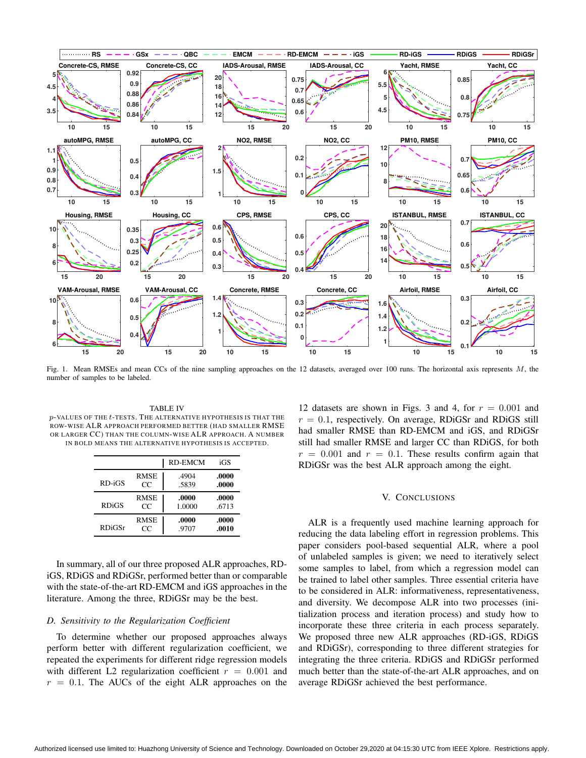

Fig. 1. Mean RMSEs and mean CCs of the nine sampling approaches on the 12 datasets, averaged over 100 runs. The horizontal axis represents M, the number of samples to be labeled.

TABLE IV  $p$ -VALUES OF THE  $t$ -TESTS. THE ALTERNATIVE HYPOTHESIS IS THAT THE ROW-WISE ALR APPROACH PERFORMED BETTER (HAD SMALLER RMSE OR LARGER CC) THAN THE COLUMN-WISE ALR APPROACH. A NUMBER IN BOLD MEANS THE ALTERNATIVE HYPOTHESIS IS ACCEPTED.

|               |             | <b>RD-EMCM</b> | iGS   |
|---------------|-------------|----------------|-------|
| $RD-iGS$      | <b>RMSE</b> | .4904          | .0000 |
|               | CC          | .5839          | .0000 |
| <b>RDiGS</b>  | <b>RMSE</b> | .0000          | .0000 |
|               | CC          | 1.0000         | .6713 |
| <b>RDiGSr</b> | <b>RMSE</b> | .0000          | .0000 |
|               | CС          | .9707          | .0010 |

In summary, all of our three proposed ALR approaches, RDiGS, RDiGS and RDiGSr, performed better than or comparable with the state-of-the-art RD-EMCM and iGS approaches in the literature. Among the three, RDiGSr may be the best.

#### *D. Sensitivity to the Regularization Coefficient*

To determine whether our proposed approaches always perform better with different regularization coefficient, we repeated the experiments for different ridge regression models with different L2 regularization coefficient  $r = 0.001$  and  $r = 0.1$ . The AUCs of the eight ALR approaches on the

12 datasets are shown in Figs. 3 and 4, for  $r = 0.001$  and  $r = 0.1$ , respectively. On average, RDiGSr and RDiGS still had smaller RMSE than RD-EMCM and iGS, and RDiGSr still had smaller RMSE and larger CC than RDiGS, for both  $r = 0.001$  and  $r = 0.1$ . These results confirm again that RDiGSr was the best ALR approach among the eight.

## V. CONCLUSIONS

ALR is a frequently used machine learning approach for reducing the data labeling effort in regression problems. This paper considers pool-based sequential ALR, where a pool of unlabeled samples is given; we need to iteratively select some samples to label, from which a regression model can be trained to label other samples. Three essential criteria have to be considered in ALR: informativeness, representativeness, and diversity. We decompose ALR into two processes (initialization process and iteration process) and study how to incorporate these three criteria in each process separately. We proposed three new ALR approaches (RD-iGS, RDiGS and RDiGSr), corresponding to three different strategies for integrating the three criteria. RDiGS and RDiGSr performed much better than the state-of-the-art ALR approaches, and on average RDiGSr achieved the best performance.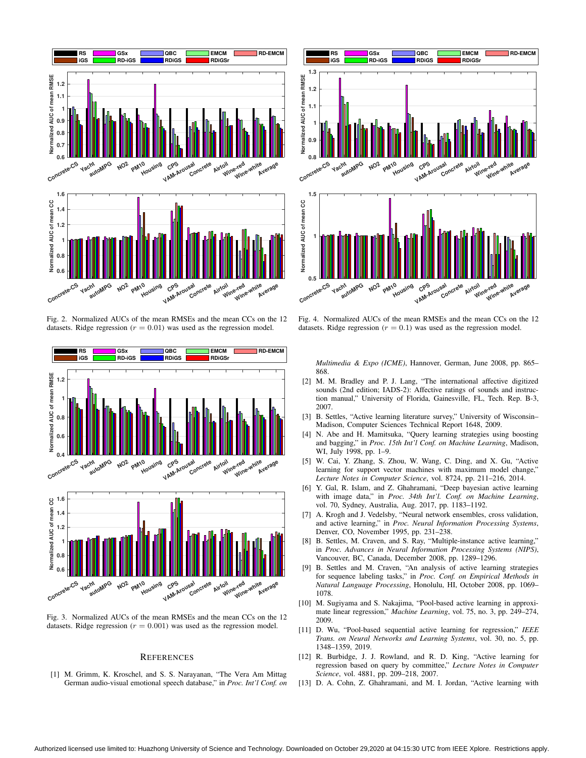

Fig. 2. Normalized AUCs of the mean RMSEs and the mean CCs on the 12 datasets. Ridge regression  $(r = 0.01)$  was used as the regression model.



Fig. 3. Normalized AUCs of the mean RMSEs and the mean CCs on the 12 datasets. Ridge regression ( $r = 0.001$ ) was used as the regression model.

## **REFERENCES**

[1] M. Grimm, K. Kroschel, and S. S. Narayanan, "The Vera Am Mittag German audio-visual emotional speech database," in *Proc. Int'l Conf. on*



Fig. 4. Normalized AUCs of the mean RMSEs and the mean CCs on the 12 datasets. Ridge regression  $(r = 0.1)$  was used as the regression model.

*Multimedia & Expo (ICME)*, Hannover, German, June 2008, pp. 865– 868.

- [2] M. M. Bradley and P. J. Lang, "The international affective digitized sounds (2nd edition; IADS-2): Affective ratings of sounds and instruction manual," University of Florida, Gainesville, FL, Tech. Rep. B-3, 2007.
- [3] B. Settles, "Active learning literature survey," University of Wisconsin– Madison, Computer Sciences Technical Report 1648, 2009.
- [4] N. Abe and H. Mamitsuka, "Query learning strategies using boosting and bagging," in *Proc. 15th Int'l Conf. on Machine Learning*, Madison, WI, July 1998, pp. 1–9.
- [5] W. Cai, Y. Zhang, S. Zhou, W. Wang, C. Ding, and X. Gu, "Active learning for support vector machines with maximum model change,' *Lecture Notes in Computer Science*, vol. 8724, pp. 211–216, 2014.
- [6] Y. Gal, R. Islam, and Z. Ghahramani, "Deep bayesian active learning with image data," in *Proc. 34th Int'l. Conf. on Machine Learning*, vol. 70, Sydney, Australia, Aug. 2017, pp. 1183–1192.
- [7] A. Krogh and J. Vedelsby, "Neural network ensembles, cross validation, and active learning," in *Proc. Neural Information Processing Systems*, Denver, CO, November 1995, pp. 231–238.
- [8] B. Settles, M. Craven, and S. Ray, "Multiple-instance active learning," in *Proc. Advances in Neural Information Processing Systems (NIPS)*, Vancouver, BC, Canada, December 2008, pp. 1289–1296.
- [9] B. Settles and M. Craven, "An analysis of active learning strategies for sequence labeling tasks," in *Proc. Conf. on Empirical Methods in Natural Language Processing*, Honolulu, HI, October 2008, pp. 1069– 1078.
- [10] M. Sugiyama and S. Nakajima, "Pool-based active learning in approximate linear regression," *Machine Learning*, vol. 75, no. 3, pp. 249–274, 2009.
- [11] D. Wu, "Pool-based sequential active learning for regression," *IEEE Trans. on Neural Networks and Learning Systems*, vol. 30, no. 5, pp. 1348–1359, 2019.
- [12] R. Burbidge, J. J. Rowland, and R. D. King, "Active learning for regression based on query by committee," *Lecture Notes in Computer Science*, vol. 4881, pp. 209–218, 2007.
- [13] D. A. Cohn, Z. Ghahramani, and M. I. Jordan, "Active learning with